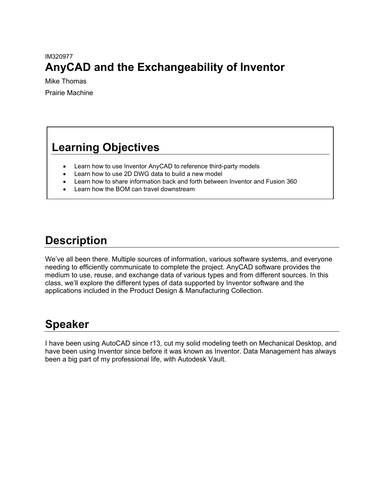## IM320977 **AnyCAD and the Exchangeability of Inventor**

Mike Thomas Prairie Machine

# **Learning Objectives**

- Learn how to use Inventor AnyCAD to reference third-party models
- Learn how to use 2D DWG data to build a new model
- Learn how to share information back and forth between Inventor and Fusion 360
- Learn how the BOM can travel downstream

# **Description**

We've all been there. Multiple sources of information, various software systems, and everyone needing to efficiently communicate to complete the project. AnyCAD software provides the medium to use, reuse, and exchange data of various types and from different sources. In this class, we'll explore the different types of data supported by Inventor software and the applications included in the Product Design & Manufacturing Collection.

# **Speaker**

I have been using AutoCAD since r13, cut my solid modeling teeth on Mechanical Desktop, and have been using Inventor since before it was known as Inventor. Data Management has always been a big part of my professional life, with Autodesk Vault.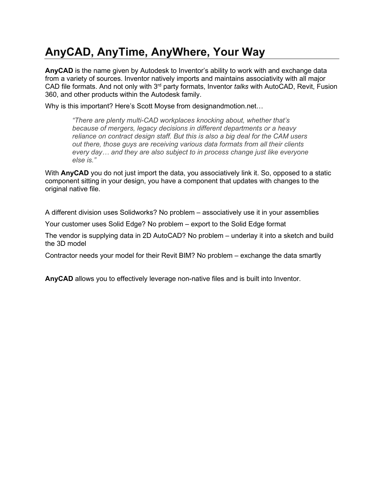# **AnyCAD, AnyTime, AnyWhere, Your Way**

**AnyCAD** is the name given by Autodesk to Inventor's ability to work with and exchange data from a variety of sources. Inventor natively imports and maintains associativity with all major CAD file formats. And not only with 3rd party formats, Inventor *talks* with AutoCAD, Revit, Fusion 360, and other products within the Autodesk family.

Why is this important? Here's Scott Moyse from designandmotion.net…

*"There are plenty multi-CAD workplaces knocking about, whether that's because of mergers, legacy decisions in different departments or a heavy reliance on contract design staff. But this is also a big deal for the CAM users out there, those guys are receiving various data formats from all their clients every day… and they are also subject to in process change just like everyone else is."*

With **AnyCAD** you do not just import the data, you associatively link it. So, opposed to a static component sitting in your design, you have a component that updates with changes to the original native file.

A different division uses Solidworks? No problem – associatively use it in your assemblies

Your customer uses Solid Edge? No problem – export to the Solid Edge format

The vendor is supplying data in 2D AutoCAD? No problem – underlay it into a sketch and build the 3D model

Contractor needs your model for their Revit BIM? No problem – exchange the data smartly

**AnyCAD** allows you to effectively leverage non-native files and is built into Inventor.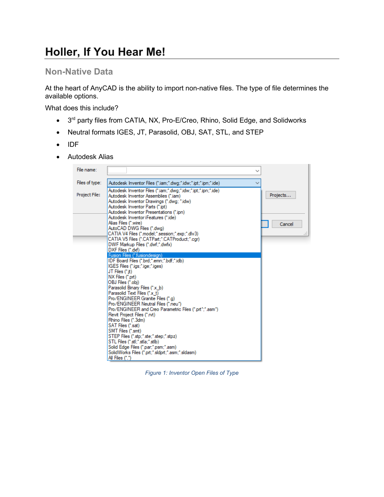# **Holler, If You Hear Me!**

### **Non-Native Data**

At the heart of AnyCAD is the ability to import non-native files. The type of file determines the available options.

What does this include?

- 3<sup>rd</sup> party files from CATIA, NX, Pro-E/Creo, Rhino, Solid Edge, and Solidworks
- Neutral formats IGES, JT, Parasolid, OBJ, SAT, STL, and STEP
- IDF
- Autodesk Alias



*Figure 1: Inventor Open Files of Type*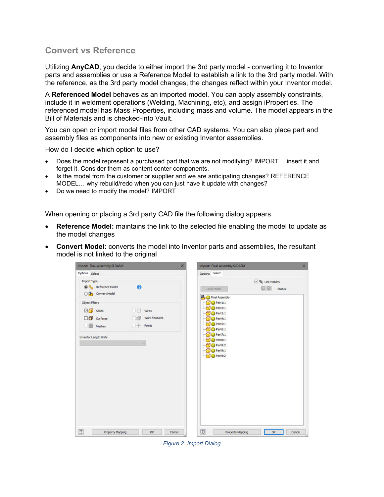### **Convert vs Reference**

Utilizing **AnyCAD**, you decide to either import the 3rd party model - converting it to Inventor parts and assemblies or use a Reference Model to establish a link to the 3rd party model. With the reference, as the 3rd party model changes, the changes reflect within your Inventor model.

A **Referenced Model** behaves as an imported model. You can apply assembly constraints, include it in weldment operations (Welding, Machining, etc), and assign iProperties. The referenced model has Mass Properties, including mass and volume. The model appears in the Bill of Materials and is checked-into Vault.

You can open or import model files from other CAD systems. You can also place part and assembly files as components into new or existing Inventor assemblies.

How do I decide which option to use?

- Does the model represent a purchased part that we are not modifying? IMPORT… insert it and forget it. Consider them as content center components.
- Is the model from the customer or supplier and we are anticipating changes? REFERENCE MODEL… why rebuild/redo when you can just have it update with changes?
- Do we need to modify the model? IMPORT

When opening or placing a 3rd party CAD file the following dialog appears.

- **Reference Model:** maintains the link to the selected file enabling the model to update as the model changes
- **Convert Model:** converts the model into Inventor parts and assemblies, the resultant model is not linked to the original



*Figure 2: Import Dialog*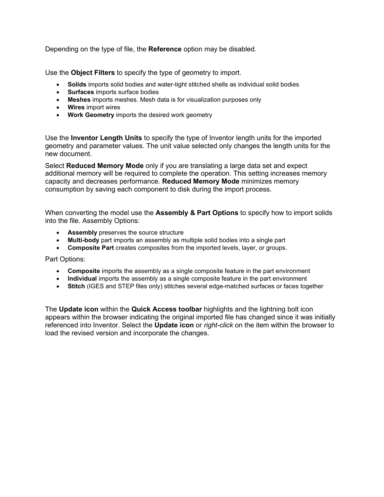Depending on the type of file, the **Reference** option may be disabled.

Use the **Object Filters** to specify the type of geometry to import.

- **Solids** imports solid bodies and water-tight stitched shells as individual solid bodies
- **Surfaces** imports surface bodies
- **Meshes** imports meshes. Mesh data is for visualization purposes only
- **Wires** import wires
- **Work Geometry** imports the desired work geometry

Use the **Inventor Length Units** to specify the type of Inventor length units for the imported geometry and parameter values. The unit value selected only changes the length units for the new document.

Select **Reduced Memory Mode** only if you are translating a large data set and expect additional memory will be required to complete the operation. This setting increases memory capacity and decreases performance. **Reduced Memory Mode** minimizes memory consumption by saving each component to disk during the import process.

When converting the model use the **Assembly & Part Options** to specify how to import solids into the file. Assembly Options:

- **Assembly** preserves the source structure
- **Multi-body** part imports an assembly as multiple solid bodies into a single part
- **Composite Part** creates composites from the imported levels, layer, or groups.

Part Options:

- **Composite** imports the assembly as a single composite feature in the part environment
- **Individual** imports the assembly as a single composite feature in the part environment
- **Stitch** (IGES and STEP files only) stitches several edge-matched surfaces or faces together

The **Update icon** within the **Quick Access toolbar** highlights and the lightning bolt icon appears within the browser indicating the original imported file has changed since it was initially referenced into Inventor. Select the **Update icon** or *right-click* on the item within the browser to load the revised version and incorporate the changes.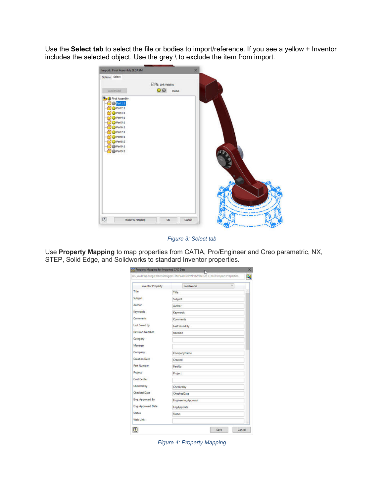Use the **Select tab** to select the file or bodies to import/reference. If you see a yellow + Inventor includes the selected object. Use the grey \ to exclude the item from import.



*Figure 3: Select tab*

Use **Property Mapping** to map properties from CATIA, Pro/Engineer and Creo parametric, NX, STEP, Solid Edge, and Solidworks to standard Inventor properties.

|                          | DR_Vault Working Folder\Designs\TEMPLATES\PMP INVENTOR STYLES\Import Properties |          |  |
|--------------------------|---------------------------------------------------------------------------------|----------|--|
| <b>Inventor Property</b> | <b>SolidWorks</b>                                                               | $\omega$ |  |
| Title                    | Title                                                                           |          |  |
| Subject                  | Subject                                                                         |          |  |
| Author                   | Author                                                                          |          |  |
| Keywords                 | Keywords                                                                        |          |  |
| <b>Comments</b>          | Comments                                                                        |          |  |
| Last Saved By            | Last Saved By                                                                   |          |  |
| Revision Number          | Revision                                                                        |          |  |
| Category                 |                                                                                 |          |  |
| Manager                  |                                                                                 |          |  |
| Company                  | CompanyName                                                                     |          |  |
| <b>Creation Date</b>     | Created                                                                         |          |  |
| Part Number              | PartNo                                                                          |          |  |
| Project                  | Project                                                                         |          |  |
| Cost Center              |                                                                                 |          |  |
| Checked By               | Checkedby                                                                       |          |  |
| <b>Checked Date</b>      | CheckedDate                                                                     |          |  |
| Eng. Approved By         | <b>EngineeringApproval</b>                                                      |          |  |
| Eng. Approved Date       | EngAppDate                                                                      |          |  |
| Status                   | <b>Status</b>                                                                   |          |  |
| Web Link                 |                                                                                 |          |  |

*Figure 4: Property Mapping*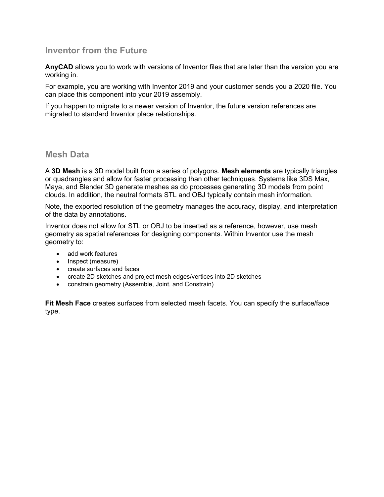### **Inventor from the Future**

**AnyCAD** allows you to work with versions of Inventor files that are later than the version you are working in.

For example, you are working with Inventor 2019 and your customer sends you a 2020 file. You can place this component into your 2019 assembly.

If you happen to migrate to a newer version of Inventor, the future version references are migrated to standard Inventor place relationships.

#### **Mesh Data**

A **3D Mesh** is a 3D model built from a series of polygons. **Mesh elements** are typically triangles or quadrangles and allow for faster processing than other techniques. Systems like 3DS Max, Maya, and Blender 3D generate meshes as do processes generating 3D models from point clouds. In addition, the neutral formats STL and OBJ typically contain mesh information.

Note, the exported resolution of the geometry manages the accuracy, display, and interpretation of the data by annotations.

Inventor does not allow for STL or OBJ to be inserted as a reference, however, use mesh geometry as spatial references for designing components. Within Inventor use the mesh geometry to:

- add work features
- Inspect (measure)
- create surfaces and faces
- create 2D sketches and project mesh edges/vertices into 2D sketches
- constrain geometry (Assemble, Joint, and Constrain)

**Fit Mesh Face** creates surfaces from selected mesh facets. You can specify the surface/face type.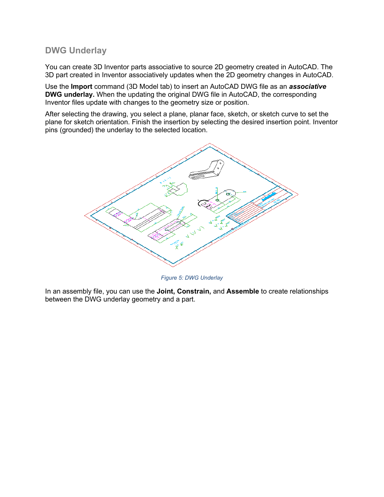### **DWG Underlay**

You can create 3D Inventor parts associative to source 2D geometry created in AutoCAD. The 3D part created in Inventor associatively updates when the 2D geometry changes in AutoCAD.

Use the **Import** command (3D Model tab) to insert an AutoCAD DWG file as an *associative* **DWG underlay.** When the updating the original DWG file in AutoCAD, the corresponding Inventor files update with changes to the geometry size or position.

After selecting the drawing, you select a plane, planar face, sketch, or sketch curve to set the plane for sketch orientation. Finish the insertion by selecting the desired insertion point. Inventor pins (grounded) the underlay to the selected location.



*Figure 5: DWG Underlay*

In an assembly file, you can use the **Joint, Constrain,** and **Assemble** to create relationships between the DWG underlay geometry and a part.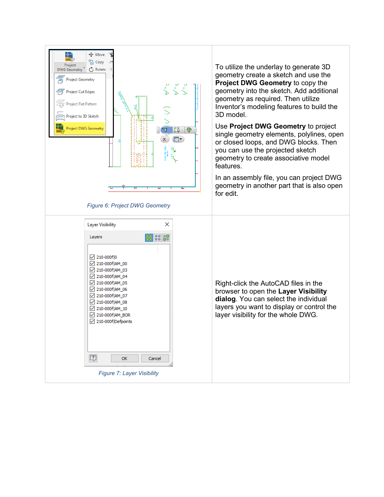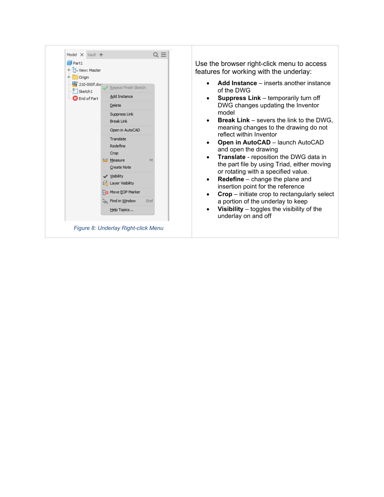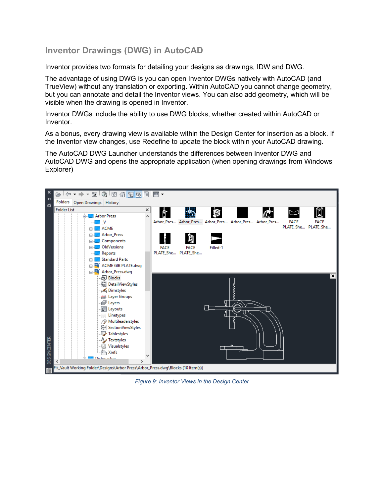## **Inventor Drawings (DWG) in AutoCAD**

Inventor provides two formats for detailing your designs as drawings, IDW and DWG.

The advantage of using DWG is you can open Inventor DWGs natively with AutoCAD (and TrueView) without any translation or exporting. Within AutoCAD you cannot change geometry, but you can annotate and detail the Inventor views. You can also add geometry, which will be visible when the drawing is opened in Inventor.

Inventor DWGs include the ability to use DWG blocks, whether created within AutoCAD or Inventor.

As a bonus, every drawing view is available within the Design Center for insertion as a block. If the Inventor view changes, use Redefine to update the block within your AutoCAD drawing.

The AutoCAD DWG Launcher understands the differences between Inventor DWG and AutoCAD DWG and opens the appropriate application (when opening drawings from Windows Explorer)

![](_page_10_Figure_6.jpeg)

*Figure 9: Inventor Views in the Design Center*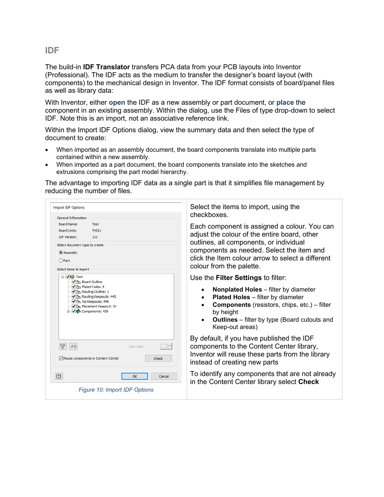#### **IDF**

The build-in **IDF Translator** transfers PCA data from your PCB layouts into Inventor (Professional). The IDF acts as the medium to transfer the designer's board layout (with components) to the mechanical design in Inventor. The IDF format consists of board/panel files as well as library data:

With Inventor, either **open** the IDF as a new assembly or part document, or **place** the component in an existing assembly. Within the dialog, use the Files of type drop-down to select IDF. Note this is an import, not an associative reference link.

Within the Import IDF Options dialog, view the summary data and then select the type of document to create:

- When imported as an assembly document, the board components translate into multiple parts contained within a new assembly.
- When imported as a part document, the board components translate into the sketches and extrusions comprising the part model hierarchy.

The advantage to importing IDF data as a single part is that it simplifies file management by reducing the number of files.

| <b>Import IDF Options</b><br><b>General Information</b>                                                                                                                     | Select the items to import, using the<br>checkboxes                                                                                                                                                                                                                   |
|-----------------------------------------------------------------------------------------------------------------------------------------------------------------------------|-----------------------------------------------------------------------------------------------------------------------------------------------------------------------------------------------------------------------------------------------------------------------|
| Board Name:<br>Test<br><b>Board Units:</b><br><b>THOU</b><br><b>IDF</b> Version:<br>3.0<br>Select document type to create<br>Assembly<br>$O$ Part<br>Select items to import | Each component is assigned a colour. You can<br>adjust the colour of the entire board, other<br>outlines, all components, or individual<br>components as needed. Select the item and<br>click the Item colour arrow to select a different<br>colour from the palette. |
| ⊟ √i <sup>1</sup> i <sup>1</sup> Test<br>In Board Outline                                                                                                                   | Use the <b>Filter Settings</b> to filter:                                                                                                                                                                                                                             |
| J <sub>D</sub> Plated Holes: 9<br>Vin Routing Outline: 1<br>Routing Keepouts: 445<br>Je Via Keepouts: 446<br>Placement Keepout: 10<br><b>E</b> Components: 458              | <b>Nonplated Holes</b> – filter by diameter<br><b>Plated Holes</b> - filter by diameter<br><b>Components</b> (resistors, chips, etc.) – filter<br>by height<br><b>Outlines</b> – filter by type (Board cutouts and<br>Keep-out areas)                                 |
| $\triangledown$<br>$\sqrt{\epsilon}$<br>Item color:<br>Reuse components in Content Center<br>Check                                                                          | By default, if you have published the IDF<br>components to the Content Center library,<br>Inventor will reuse these parts from the library<br>instead of creating new parts                                                                                           |
| $\sqrt{2}$<br>OK<br>Cancel                                                                                                                                                  | To identify any components that are not already<br>in the Content Center library select Check                                                                                                                                                                         |
| Figure 10: Import IDF Options                                                                                                                                               |                                                                                                                                                                                                                                                                       |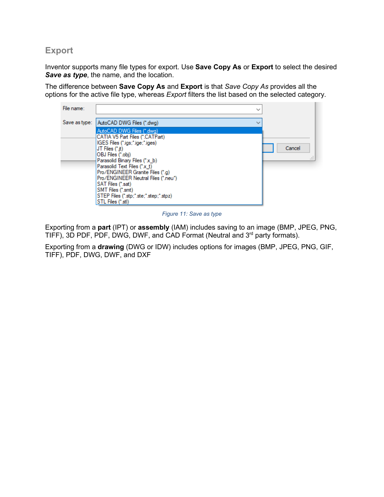### **Export**

Inventor supports many file types for export. Use **Save Copy As** or **Export** to select the desired *Save as type*, the name, and the location.

The difference between **Save Copy As** and **Export** is that *Save Copy As* provides all the options for the active file type, whereas *Export* filters the list based on the selected category.

| File name:    | $\checkmark$                                                                                                                                                                                                                                                                                                                                                                                |              |
|---------------|---------------------------------------------------------------------------------------------------------------------------------------------------------------------------------------------------------------------------------------------------------------------------------------------------------------------------------------------------------------------------------------------|--------------|
| Save as type: | AutoCAD DWG Files (*.dwg)                                                                                                                                                                                                                                                                                                                                                                   |              |
|               | AutoCAD DWG Files (*.dwg)<br>CATIA V5 Part Files (*.CATPart)<br>IGES Files (*.igs;*.ige;*.iges)<br>JT Files (*.jt)<br>OBJ Files (*.obj)<br>Parasolid Binary Files (*x_b)<br>Parasolid Text Files (*x t)<br>Pro/ENGINEER Granite Files (*.g)<br>Pro/ENGINEER Neutral Files (*.neu*)<br>SAT Files (*.sat)<br>SMT Files (*.smt)<br>STEP Files (".stp;".ste;".step;".stpz)<br>STL Files (*.stl) | Cancel<br>a. |

*Figure 11: Save as type*

Exporting from a **part** (IPT) or **assembly** (IAM) includes saving to an image (BMP, JPEG, PNG, TIFF), 3D PDF, PDF, DWG, DWF, and CAD Format (Neutral and 3rd party formats).

Exporting from a **drawing** (DWG or IDW) includes options for images (BMP, JPEG, PNG, GIF, TIFF), PDF, DWG, DWF, and DXF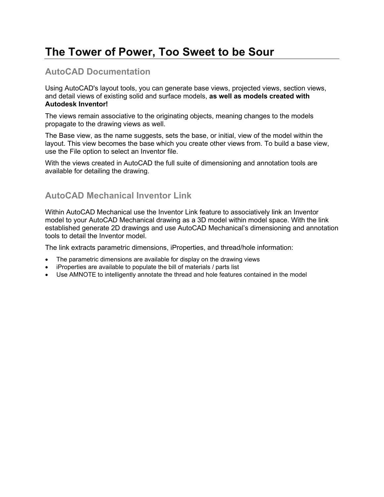# **The Tower of Power, Too Sweet to be Sour**

### **AutoCAD Documentation**

Using AutoCAD's layout tools, you can generate base views, projected views, section views, and detail views of existing solid and surface models, **as well as models created with Autodesk Inventor!**

The views remain associative to the originating objects, meaning changes to the models propagate to the drawing views as well.

The Base view, as the name suggests, sets the base, or initial, view of the model within the layout. This view becomes the base which you create other views from. To build a base view, use the File option to select an Inventor file.

With the views created in AutoCAD the full suite of dimensioning and annotation tools are available for detailing the drawing.

### **AutoCAD Mechanical Inventor Link**

Within AutoCAD Mechanical use the Inventor Link feature to associatively link an Inventor model to your AutoCAD Mechanical drawing as a 3D model within model space. With the link established generate 2D drawings and use AutoCAD Mechanical's dimensioning and annotation tools to detail the Inventor model.

The link extracts parametric dimensions, iProperties, and thread/hole information:

- The parametric dimensions are available for display on the drawing views
- iProperties are available to populate the bill of materials / parts list
- Use AMNOTE to intelligently annotate the thread and hole features contained in the model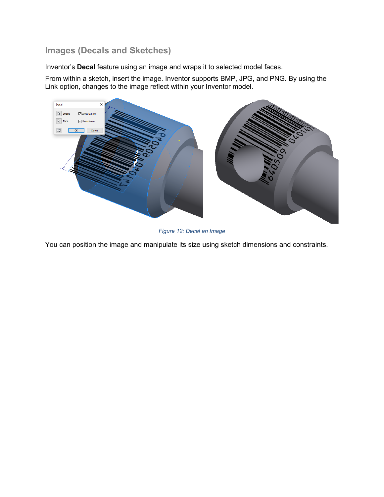## **Images (Decals and Sketches)**

Inventor's **Decal** feature using an image and wraps it to selected model faces.

From within a sketch, insert the image. Inventor supports BMP, JPG, and PNG. By using the Link option, changes to the image reflect within your Inventor model.

![](_page_14_Figure_3.jpeg)

*Figure 12: Decal an Image*

You can position the image and manipulate its size using sketch dimensions and constraints.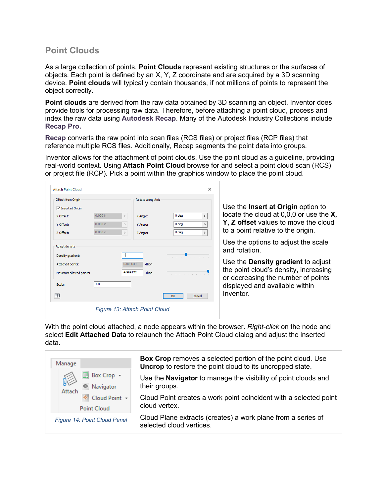### **Point Clouds**

As a large collection of points, **Point Clouds** represent existing structures or the surfaces of objects. Each point is defined by an X, Y, Z coordinate and are acquired by a 3D scanning device. **Point clouds** will typically contain thousands, if not millions of points to represent the object correctly.

**Point clouds** are derived from the raw data obtained by 3D scanning an object. Inventor does provide tools for processing raw data. Therefore, before attaching a point cloud, process and index the raw data using **Autodesk Recap**. Many of the Autodesk Industry Collections include **Recap Pro.**

**Recap** converts the raw point into scan files (RCS files) or project files (RCP files) that reference multiple RCS files. Additionally, Recap segments the point data into groups.

Inventor allows for the attachment of point clouds. Use the point cloud as a guideline, providing real-world context. Using **Attach Point Cloud** browse for and select a point cloud scan (RCS) or project file (RCP). Pick a point within the graphics window to place the point cloud.

| <b>Attach Point Cloud</b>           |            |          |                               |                  | ×             |                                                                      |
|-------------------------------------|------------|----------|-------------------------------|------------------|---------------|----------------------------------------------------------------------|
| Offset from Origin                  |            |          | Rotate along Axis             |                  |               |                                                                      |
| □ Insert at Origin                  |            |          |                               |                  |               | Use the <b>Insert at Origin</b> option to                            |
| X Offset:                           | $0.000$ in |          | X Angle:                      | 0 <sub>deq</sub> | $\rightarrow$ | locate the cloud at $0.00$ or use the $X$ ,                          |
| Y Offset:                           | $0.000$ in |          | Y Angle:                      | 0 deg            | $\rightarrow$ | Y, Z offset values to move the cloud                                 |
| Z Offset:                           | $0.000$ in |          | Z Angle:                      | 0 <sub>deg</sub> | $\,$          | to a point relative to the origin.                                   |
| Adjust density<br>Density gradient: |            | 5        |                               |                  |               | Use the options to adjust the scale<br>and rotation.                 |
| Attached points:                    |            | 0.000000 | Million                       | . <del>.</del>   |               | Use the <b>Density gradient</b> to adjust                            |
| Maximum allowed points:             |            | 4.999172 | Million                       | .                |               | the point cloud's density, increasing                                |
| Scale:                              | 1.0        |          |                               |                  |               | or decreasing the number of points<br>displayed and available within |
| $\boxed{?}$                         |            |          |                               | OK               | Cancel        | Inventor.                                                            |
|                                     |            |          | Figure 13: Attach Point Cloud |                  |               |                                                                      |

With the point cloud attached, a node appears within the browser. *Right-click* on the node and select **Edit Attached Data** to relaunch the Attach Point Cloud dialog and adjust the inserted data.

| Manage                                         | <b>Box Crop</b> removes a selected portion of the point cloud. Use<br><b>Uncrop</b> to restore the point cloud to its uncropped state. |
|------------------------------------------------|----------------------------------------------------------------------------------------------------------------------------------------|
| <b>Box Crop +</b><br>6)<br>Navigator<br>Attach | Use the <b>Navigator</b> to manage the visibility of point clouds and<br>their groups.                                                 |
| Cloud Point +<br>Point Cloud                   | Cloud Point creates a work point coincident with a selected point<br>cloud vertex.                                                     |
| Figure 14: Point Cloud Panel                   | Cloud Plane extracts (creates) a work plane from a series of<br>selected cloud vertices.                                               |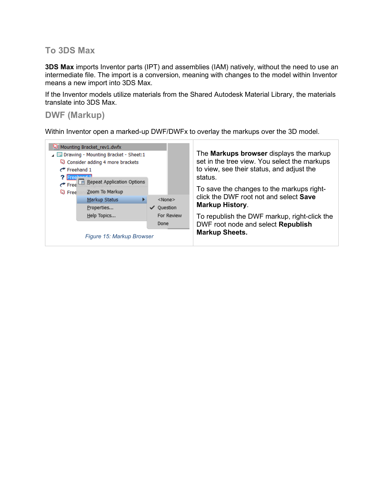### **To 3DS Max**

**3DS Max** imports Inventor parts (IPT) and assemblies (IAM) natively, without the need to use an intermediate file. The import is a conversion, meaning with changes to the model within Inventor means a new import into 3DS Max.

If the Inventor models utilize materials from the Shared Autodesk Material Library, the materials translate into 3DS Max.

### **DWF (Markup)**

Within Inventor open a marked-up DWF/DWFx to overlay the markups over the 3D model.

| Mounting Bracket_rev1.dwfx<br>Drawing - Mounting Bracket - Sheet:1<br>Consider adding 4 more brackets<br>$\rightarrow$ Freehand 1<br><b>?</b> Freehand 2<br>Repeat Application Options<br>$\rightarrow$ Free<br>Zoom To Markup<br><b>Q</b> Free<br>Markup Status<br>Properties<br>Help Topics<br>Figure 15: Markup Browser | $<$ None $>$<br>Ouestion<br>✓<br>For Review<br>Done | The <b>Markups browser</b> displays the markup<br>set in the tree view. You select the markups<br>to view, see their status, and adjust the<br>status.<br>To save the changes to the markups right-<br>click the DWF root not and select Save<br><b>Markup History.</b><br>To republish the DWF markup, right-click the<br>DWF root node and select Republish<br><b>Markup Sheets.</b> |
|----------------------------------------------------------------------------------------------------------------------------------------------------------------------------------------------------------------------------------------------------------------------------------------------------------------------------|-----------------------------------------------------|----------------------------------------------------------------------------------------------------------------------------------------------------------------------------------------------------------------------------------------------------------------------------------------------------------------------------------------------------------------------------------------|
|                                                                                                                                                                                                                                                                                                                            |                                                     |                                                                                                                                                                                                                                                                                                                                                                                        |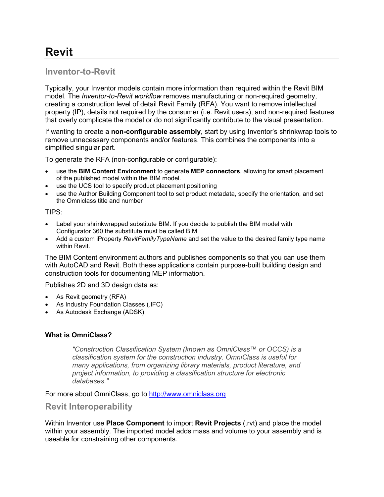# **Revit**

## **Inventor-to-Revit**

Typically, your Inventor models contain more information than required within the Revit BIM model. The *Inventor-to-Revit workflow* removes manufacturing or non-required geometry, creating a construction level of detail Revit Family (RFA). You want to remove intellectual property (IP), details not required by the consumer (i.e. Revit users), and non-required features that overly complicate the model or do not significantly contribute to the visual presentation.

If wanting to create a **non-configurable assembly**, start by using Inventor's shrinkwrap tools to remove unnecessary components and/or features. This combines the components into a simplified singular part.

To generate the RFA (non-configurable or configurable):

- use the **BIM Content Environment** to generate **MEP connectors**, allowing for smart placement of the published model within the BIM model.
- use the UCS tool to specify product placement positioning
- use the Author Building Component tool to set product metadata, specify the orientation, and set the Omniclass title and number

#### TIPS:

- Label your shrinkwrapped substitute BIM. If you decide to publish the BIM model with Configurator 360 the substitute must be called BIM
- Add a custom iProperty *RevitFamilyTypeName* and set the value to the desired family type name within Revit.

The BIM Content environment authors and publishes components so that you can use them with AutoCAD and Revit. Both these applications contain purpose-built building design and construction tools for documenting MEP information.

Publishes 2D and 3D design data as:

- As Revit geometry (RFA)
- As Industry Foundation Classes (.IFC)
- As Autodesk Exchange (ADSK)

#### **What is OmniClass?**

*"Construction Classification System (known as OmniClass™ or OCCS) is a classification system for the construction industry. OmniClass is useful for many applications, from organizing library materials, product literature, and project information, to providing a classification structure for electronic databases."*

For more about OmniClass, go to [http://www.omniclass.org](http://www.omniclass.org/)

#### **Revit Interoperability**

Within Inventor use **Place Component** to import **Revit Projects** (.rvt) and place the model within your assembly. The imported model adds mass and volume to your assembly and is useable for constraining other components.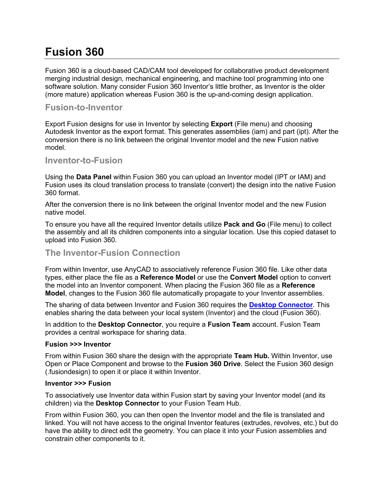# **Fusion 360**

Fusion 360 is a cloud-based CAD/CAM tool developed for collaborative product development merging industrial design, mechanical engineering, and machine tool programming into one software solution. Many consider Fusion 360 Inventor's little brother, as Inventor is the older (more mature) application whereas Fusion 360 is the up-and-coming design application.

#### **Fusion-to-Inventor**

Export Fusion designs for use in Inventor by selecting **Export** (File menu) and choosing Autodesk Inventor as the export format. This generates assemblies (iam) and part (ipt). After the conversion there is no link between the original Inventor model and the new Fusion native model.

#### **Inventor-to-Fusion**

Using the **Data Panel** within Fusion 360 you can upload an Inventor model (IPT or IAM) and Fusion uses its cloud translation process to translate (convert) the design into the native Fusion 360 format.

After the conversion there is no link between the original Inventor model and the new Fusion native model.

To ensure you have all the required Inventor details utilize **Pack and Go** (File menu) to collect the assembly and all its children components into a singular location. Use this copied dataset to upload into Fusion 360.

#### **The Inventor-Fusion Connection**

From within Inventor, use AnyCAD to associatively reference Fusion 360 file. Like other data types, either place the file as a **Reference Model** or use the **Convert Model** option to convert the model into an Inventor component. When placing the Fusion 360 file as a **Reference Model**, changes to the Fusion 360 file automatically propagate to your Inventor assemblies.

The sharing of data between Inventor and Fusion 360 requires the **[Desktop Connector](https://knowledge.autodesk.com/support/revit-products/learn-explore/caas/CloudHelp/cloudhelp/ENU/CONNECT/files/GUID-847CE3FC-B26F-46B8-895E-5D825F4BD540-htm.html)**. This enables sharing the data between your local system (Inventor) and the cloud (Fusion 360).

In addition to the **Desktop Connector**, you require a **Fusion Team** account. Fusion Team provides a central workspace for sharing data.

#### **Fusion >>> Inventor**

From within Fusion 360 share the design with the appropriate **Team Hub.** Within Inventor, use Open or Place Component and browse to the **Fusion 360 Drive**. Select the Fusion 360 design (.fusiondesign) to open it or place it within Inventor.

#### **Inventor >>> Fusion**

To associatively use Inventor data within Fusion start by saving your Inventor model (and its children) via the **Desktop Connector** to your Fusion Team Hub.

From within Fusion 360, you can then open the Inventor model and the file is translated and linked. You will not have access to the original Inventor features (extrudes, revolves, etc.) but do have the ability to direct edit the geometry. You can place it into your Fusion assemblies and constrain other components to it.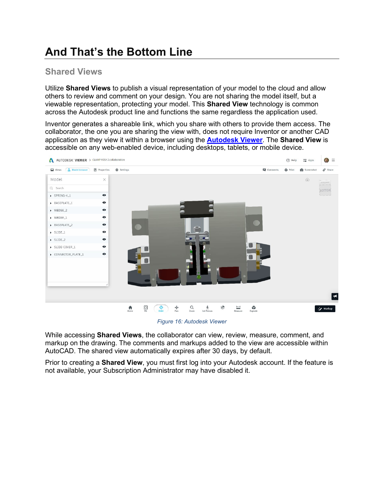# **And That's the Bottom Line**

### **Shared Views**

Utilize **Shared Views** to publish a visual representation of your model to the cloud and allow others to review and comment on your design. You are not sharing the model itself, but a viewable representation, protecting your model. This **Shared View** technology is common across the Autodesk product line and functions the same regardless the application used.

Inventor generates a shareable link, which you share with others to provide them access. The collaborator, the one you are sharing the view with, does not require Inventor or another CAD application as they view it within a browser using the **[Autodesk Viewer](https://viewer.autodesk.com/)**. The **Shared View** is accessible on any web-enabled device, including desktops, tablets, or mobile device.

![](_page_19_Picture_4.jpeg)

*Figure 16: Autodesk Viewer*

While accessing **Shared Views**, the collaborator can view, review, measure, comment, and markup on the drawing. The comments and markups added to the view are accessible within AutoCAD. The shared view automatically expires after 30 days, by default.

Prior to creating a **Shared View**, you must first log into your Autodesk account. If the feature is not available, your Subscription Administrator may have disabled it.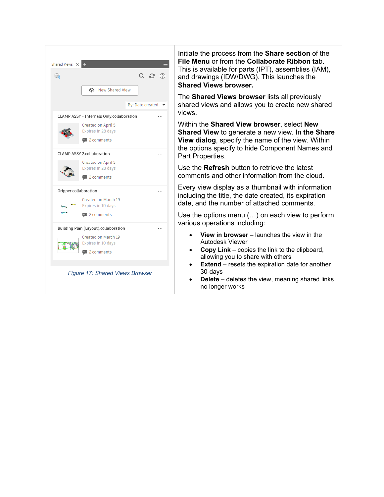![](_page_20_Picture_0.jpeg)

Initiate the process from the **Share section** of the **File Menu** or from the **Collaborate Ribbon ta**b. This is available for parts (IPT), assemblies (IAM), and drawings (IDW/DWG). This launches the **Shared Views browser.**

The **Shared Views browser** lists all previously shared views and allows you to create new shared views.

Within the **Shared View browser**, select **New Shared View** to generate a new view. In **the Share View dialog**, specify the name of the view. Within the options specify to hide Component Names and Part Properties.

Use the **Refresh** button to retrieve the latest comments and other information from the cloud.

Every view display as a thumbnail with information including the title, the date created, its expiration date, and the number of attached comments.

Use the options menu (…) on each view to perform various operations including:

- **View in browser** launches the view in the Autodesk Viewer
- **Copy Link** copies the link to the clipboard, allowing you to share with others
- **Extend** resets the expiration date for another 30-days
- **Delete** deletes the view, meaning shared links no longer works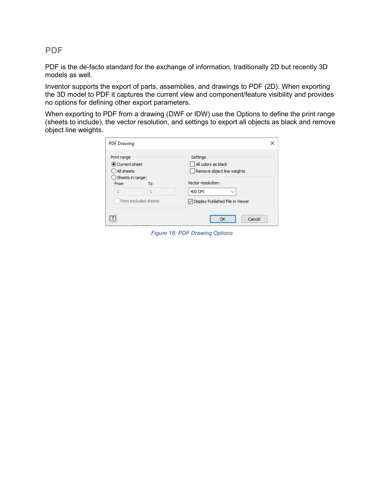**PDF**

PDF is the de-facto standard for the exchange of information, traditionally 2D but recently 3D models as well.

Inventor supports the export of parts, assemblies, and drawings to PDF (2D). When exporting the 3D model to PDF it captures the current view and component/feature visibility and provides no options for defining other export parameters.

When exporting to PDF from a drawing (DWF or IDW) use the Options to define the print range (sheets to include), the vector resolution, and settings to export all objects as black and remove object line weights.

| <b>PDF Drawing</b>                                                                |                                                                                                |
|-----------------------------------------------------------------------------------|------------------------------------------------------------------------------------------------|
| Print range<br>Current sheet<br>All sheets<br>Sheets in range:<br>From<br>То<br>1 | Settings<br>All colors as black<br>Remove object line weights<br>Vector resolution:<br>400 DPI |
| Print excluded sheets                                                             | ○ Display Published File in Viewer                                                             |
|                                                                                   | OK<br>Cancel                                                                                   |

*Figure 18: PDF Drawing Options*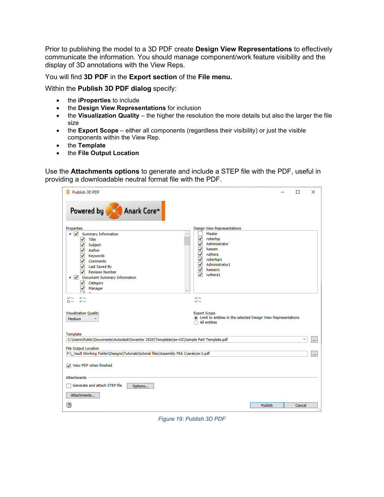Prior to publishing the model to a 3D PDF create **Design View Representations** to effectively communicate the information. You should manage component/work feature visibility and the display of 3D annotations with the View Reps.

You will find **3D PDF** in the **Export section** of the **File menu.**

Within the **Publish 3D PDF dialog** specify:

- the **iProperties** to include
- the **Design View Representations** for inclusion
- the **Visualization Quality** the higher the resolution the more details but also the larger the file size
- the **Export Scope** either all components (regardless their visibility) or just the visible components within the View Rep.
- the **Template**
- the **File Output Location**

Use the **Attachments options** to generate and include a STEP file with the PDF, useful in providing a downloadable neutral format file with the PDF.

| Publish 3D PDF                                                                                                                                                                                                                                                                                                                                                                            | ×<br>□                                                                                                                                                                                                                                                                                     |
|-------------------------------------------------------------------------------------------------------------------------------------------------------------------------------------------------------------------------------------------------------------------------------------------------------------------------------------------------------------------------------------------|--------------------------------------------------------------------------------------------------------------------------------------------------------------------------------------------------------------------------------------------------------------------------------------------|
| Powered by Anark Core™                                                                                                                                                                                                                                                                                                                                                                    |                                                                                                                                                                                                                                                                                            |
| <b>Properties</b><br>◢ ✔<br><b>Summary Information</b><br>$\checkmark$<br>Title<br>√ Subject<br>$\sqrt{}$ Author<br>$\sqrt{\phantom{a}}$ Keywords<br>$\sqrt{}$ Comments<br>$\sqrt{}$ Last Saved By<br>$\sqrt{}$ Revision Number<br><b>Document Summary Information</b><br>⊿ I√<br>Category<br>✓<br>Manager<br>✓<br>$\blacktriangledown$ mm<br>مستد محب<br>$\square$ mm<br>$\sqrt{ }$ 1000 | <b>Design View Representations</b><br>Master<br>✓<br>robertsp<br>Administrator<br>∣√∣<br>hassen<br>✓<br>$\overline{\mathsf{v}}$<br>ruthera<br>$\sqrt{\phantom{a}}$ robertsp1<br>Administrator1<br>⊻<br>√<br>hassen1<br>ruthera1<br>◡<br>$\blacktriangledown$ mm<br>$\blacktriangledown$ mm |
| <b>Visualization Quality</b><br><b>Medium</b>                                                                                                                                                                                                                                                                                                                                             | <b>Export Scope</b><br>If Limit to entities in the selected Design View Representations<br>All entities                                                                                                                                                                                    |
| Template<br>C:\Users\Public\Documents\Autodesk\Inventor 2020\Templates\en-US\Sample Part Template.pdf<br><b>File Output Location</b><br>F:\ Vault Working Folder\Designs\Tutorials\tutorial files\Assembly FEA 1\analyze-2.pdf                                                                                                                                                            | $\checkmark$<br>$\cdots$<br>m.                                                                                                                                                                                                                                                             |
| View PDF when finished                                                                                                                                                                                                                                                                                                                                                                    |                                                                                                                                                                                                                                                                                            |
| <b>Attachments</b>                                                                                                                                                                                                                                                                                                                                                                        |                                                                                                                                                                                                                                                                                            |
| Generate and attach STEP file<br>Options                                                                                                                                                                                                                                                                                                                                                  |                                                                                                                                                                                                                                                                                            |
| Attachments                                                                                                                                                                                                                                                                                                                                                                               |                                                                                                                                                                                                                                                                                            |
| $\overline{\mathbf{2}}$                                                                                                                                                                                                                                                                                                                                                                   | <b>Publish</b><br>Cancel                                                                                                                                                                                                                                                                   |

*Figure 19: Publish 3D PDF*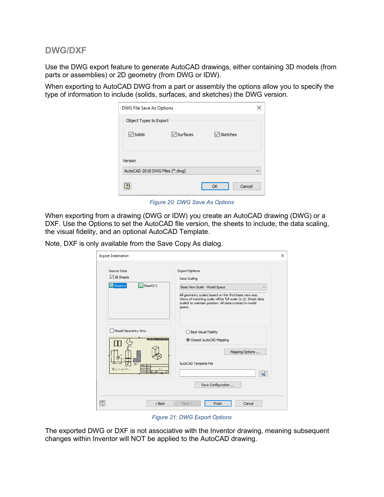#### **DWG/DXF**

Use the DWG export feature to generate AutoCAD drawings, either containing 3D models (from parts or assemblies) or 2D geometry (from DWG or IDW).

When exporting to AutoCAD DWG from a part or assembly the options allow you to specify the type of information to include (solids, surfaces, and sketches) the DWG version.

| DWG File Save As Options<br>×             |          |              |  |  |
|-------------------------------------------|----------|--------------|--|--|
| Object Types to Export                    |          |              |  |  |
| $\triangledown$ Solids                    | Surfaces | √ Sketches   |  |  |
| Version<br>AutoCAD 2018 DWG Files (*.dwg) |          |              |  |  |
| $\overline{2}$                            |          | Cancel<br>ОК |  |  |

*Figure 20: DWG Save As Options*

When exporting from a drawing (DWG or IDW) you create an AutoCAD drawing (DWG) or a DXF. Use the Options to set the AutoCAD file version, the sheets to include, the data scaling, the visual fidelity, and an optional AutoCAD Template.

Note, DXF is only available from the Save Copy As dialog.

| <b>Export Destination</b>                                                                                                                                         | ×                                                                                                                                                                                                                                                                                    |
|-------------------------------------------------------------------------------------------------------------------------------------------------------------------|--------------------------------------------------------------------------------------------------------------------------------------------------------------------------------------------------------------------------------------------------------------------------------------|
| Source Data<br><b>∞</b> All Sheets<br>Sheet: 1<br>$\mathsf{I}$ $\mathsf{H}$ Sheet2:2                                                                              | <b>Export Options</b><br>Data Scaling<br>Base View Scale - Model Space<br>$\checkmark$<br>All geometry scaled based on the first base view size.<br>Views of matching scale will be full scale (1:1). Sheet data<br>scaled to maintain position. All data created in model<br>space. |
| Model Geometry Only<br>$\frac{1}{2}$ and $\frac{1}{2}$ and $\frac{1}{2}$ and $\frac{1}{2}$ and $\frac{1}{2}$ and $\frac{1}{2}$<br>uge-<br>State and a<br>Film and | ◯ Best Visual Fidelity<br>Closest AutoCAD Mapping<br>Mapping Options<br>AutoCAD Template File<br>$\overline{\mathbf{2}}$<br>Save Configuration                                                                                                                                       |
| $\overline{\mathcal{L}}$<br>$<$ Back                                                                                                                              | Finish<br>Cancel<br>Next                                                                                                                                                                                                                                                             |

*Figure 21: DWG Export Options*

The exported DWG or DXF is not associative with the Inventor drawing, meaning subsequent changes within Inventor will NOT be applied to the AutoCAD drawing.